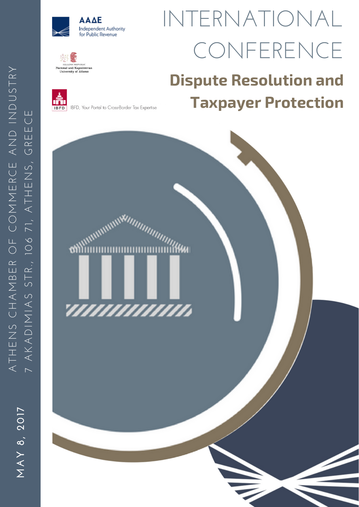



# TERNATIONAL CONFERENCE

# **Dispute Resolution and Taxpayer Protection**



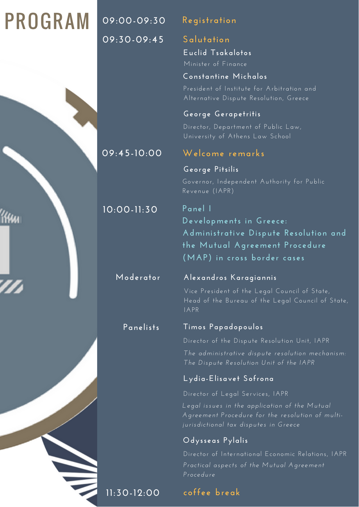# PROGRAM

issu

**09:00-09:30 Registration 09:30-09:45 Salutation**

**Euclid Tsakalotos**

Minister of Finance

**Constantine Michalos**

President of Institute for Arbitration and Alternative Dispute Resolution, Greece

## **George Gerapetritis**

Director, Department of Public Law, University of Athens Law School

# **09:45-10:00 Welcome remarks**

# **George Pitsilis**

Governor, Independent Authority for Public Revenue (IAPR)

# **10:00-11:30 Panel I**

**Developments in Greece: Administrative Dispute Resolution and the Mutual Agreement Procedure (MAP) in cross border cases**

### **Moderator Alexandros Karagiannis**

Vice President of the Legal Council of State, Head of the Bureau of the Legal Council of State, IAPR

# **Panelists Timos Papadopoulos**

Director of the Dispute Resolution Unit, IAPR

*The administrative dispute resolution mechanism: The Dispute Resolution Unit of the IAPR*

# **Lydia-Elisavet Sofrona**

Director of Legal Services, IAPR

*Legal issues in the appl ication of the Mutual Agreement Procedure for the resolution of multijurisdictional tax disputes in Greece*

# **Odysseas Pylalis**

Director of International Economic Relations, IAPR *Practical aspects of the Mutual Agreement Procedure*

# **11:30-12:00 coffee break**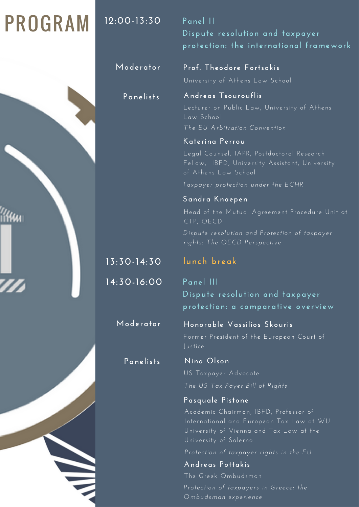# PROGRAM

**12:00-13:30 Panel II**

**Dispute resolution and taxpayer protection: the international framework**

**Moderator Prof. Theodore Fortsakis**

University of Athens Law School

**Panelists Andreas Tsourouflis**

Lecturer on Public Law, University of Athens Law School *The EU Arbitration Convention*

## **Katerina Perrou**

Legal Counsel, IAPR, Postdoctoral Research Fellow, IBFD, University Assistant, University of Athens Law School

### *Taxpayer protection under the ECHR*

**Sandra Knaepen** Head of the Mutual Agreement Procedure Unit at CTP, OECD *Dispute resolution and Protection of taxpayer rights: The OECD Perspective*

# **13:30-14:30 lunch break**

**14:30-16:00 Panel III Dispute resolution and taxpayer protection: a comparative overview**

**Moderator Honorable Vassilios Skouris**

Former President of the European Court of Justice

**Panelists Nina Olson**

US Taxpayer Advocate *The US Tax Payer Bi l l of Rights*

## **Pasquale Pistone**

Academic Chairman, IBFD, Professor of International and European Tax Law at WU University of Salerno

*Protection of taxpayer rights in the EU*

**Andreas Pottakis** The Greek Ombudsman *Protection of taxpayers in Greece: the Ombudsman experience*